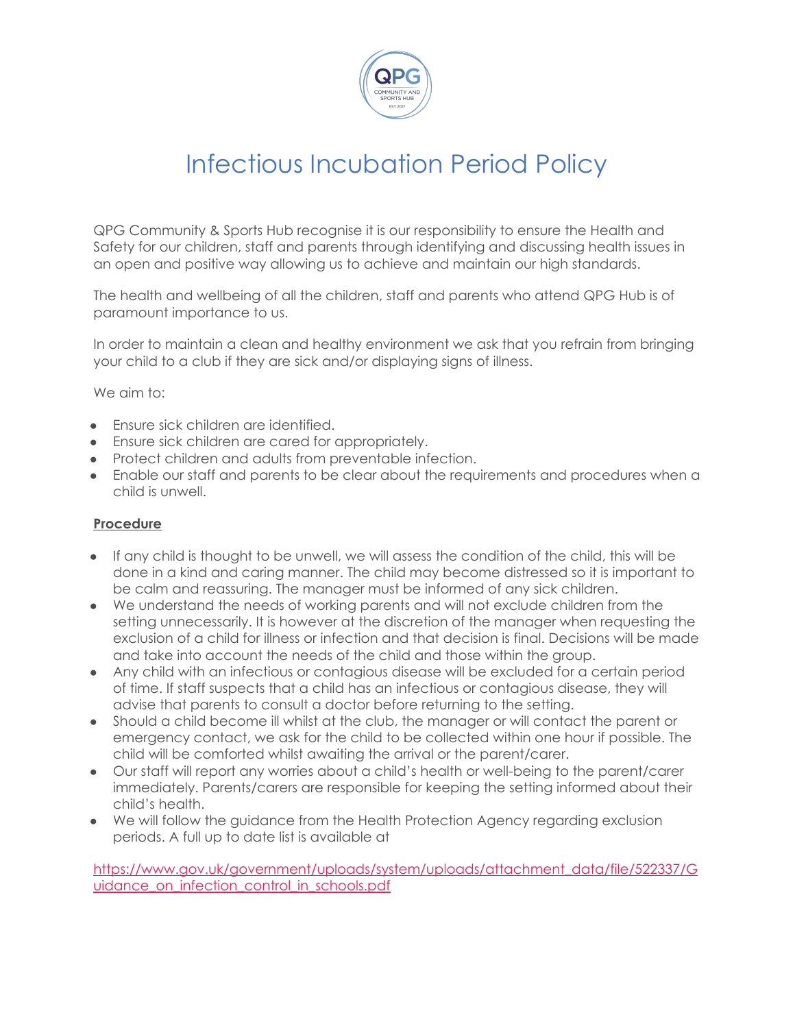

## Infectious Incubation Period Policy

QPG Community & Sports Hub recognise it is our responsibility to ensure the Health and Safety for our children, staff and parents through identifying and discussing health issues in an open and positive way allowing us to achieve and maintain our high standards.

The health and wellbeing of all the children, staff and parents who attend QPG Hub is of paramount importance to us.

In order to maintain a clean and healthy environment we ask that you refrain from bringing your child to a club if they are sick and/or displaying signs of illness.

We aim to:

- Ensure sick children are identified.
- Ensure sick children are cared for appropriately.
- Protect children and adults from preventable infection.
- Enable our staff and parents to be clear about the requirements and procedures when a child is unwell.

## **Procedure**

- If any child is thought to be unwell, we will assess the condition of the child, this will be done in a kind and caring manner. The child may become distressed so it is important to be calm and reassuring. The manager must be informed of any sick children.
- We understand the needs of working parents and will not exclude children from the setting unnecessarily. It is however at the discretion of the manager when requesting the exclusion of a child for illness or infection and that decision is final. Decisions will be made and take into account the needs of the child and those within the group.
- Any child with an infectious or contagious disease will be excluded for a certain period of time. If staff suspects that a child has an infectious or contagious disease, they will advise that parents to consult a doctor before returning to the setting.
- Should a child become ill whilst at the club, the manager or will contact the parent or emergency contact, we ask for the child to be collected within one hour if possible. The child will be comforted whilst awaiting the arrival or the parent/carer.
- Our staff will report any worries about a child's health or well-being to the parent/carer immediately. Parents/carers are responsible for keeping the setting informed about their child's health.
- We will follow the guidance from the Health Protection Agency regarding exclusion periods. A full up to date list is available at

[https://www.gov.uk/government/uploads/system/uploads/attachment\\_data/file/522337/G](https://www.gov.uk/government/uploads/system/uploads/attachment_data/file/522337/Guidance_on_infection_control_in_schools.pdf) uidance on infection control in schools.pdf